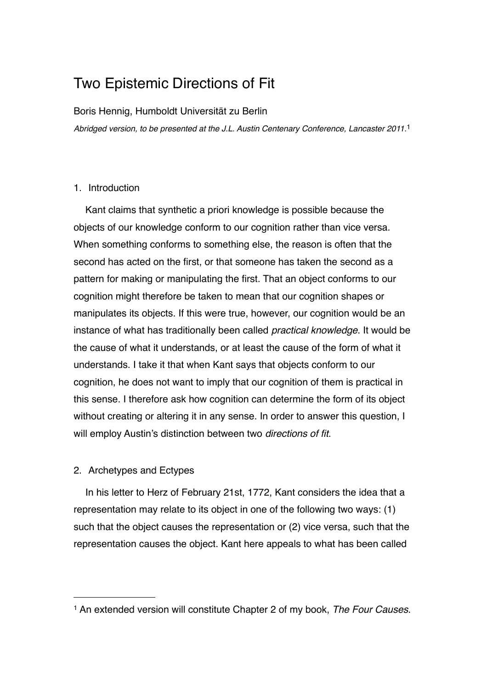# Two Epistemic Directions of Fit

# Boris Hennig, Humboldt Universität zu Berlin

*Abridged version, to be presented at the J.L. Austin Centenary Conference, Lancaster 2011.*[1](#page-0-0)

# 1. Introduction

Kant claims that synthetic a priori knowledge is possible because the objects of our knowledge conform to our cognition rather than vice versa. When something conforms to something else, the reason is often that the second has acted on the first, or that someone has taken the second as a pattern for making or manipulating the first. That an object conforms to our cognition might therefore be taken to mean that our cognition shapes or manipulates its objects. If this were true, however, our cognition would be an instance of what has traditionally been called *practical knowledge*. It would be the cause of what it understands, or at least the cause of the form of what it understands. I take it that when Kant says that objects conform to our cognition, he does not want to imply that our cognition of them is practical in this sense. I therefore ask how cognition can determine the form of its object without creating or altering it in any sense. In order to answer this question, I will employ Austin's distinction between two *directions of fit*.

# 2. Archetypes and Ectypes

In his letter to Herz of February 21st, 1772, Kant considers the idea that a representation may relate to its object in one of the following two ways: (1) such that the object causes the representation or (2) vice versa, such that the representation causes the object. Kant here appeals to what has been called

<span id="page-0-0"></span><sup>1</sup> An extended version will constitute Chapter 2 of my book, *The Four Causes*.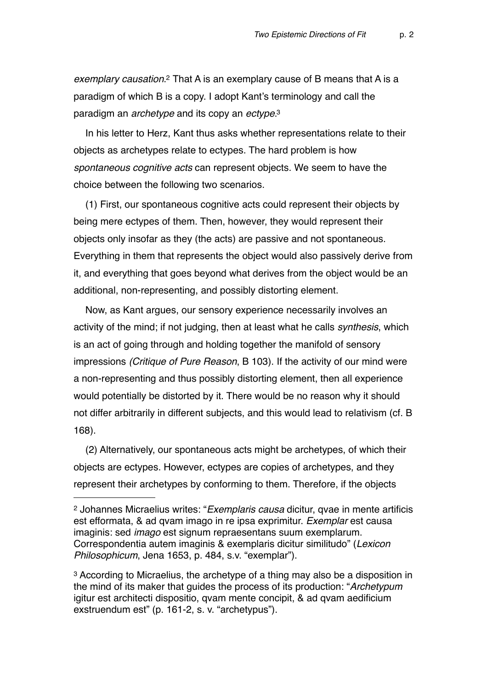*exemplary causation*. [2](#page-1-0) That A is an exemplary cause of B means that A is a paradigm of which B is a copy. I adopt Kant's terminology and call the paradigm an *archetype* and its copy an *ectype*. [3](#page-1-1)

In his letter to Herz, Kant thus asks whether representations relate to their objects as archetypes relate to ectypes. The hard problem is how *spontaneous cognitive acts* can represent objects. We seem to have the choice between the following two scenarios.

(1) First, our spontaneous cognitive acts could represent their objects by being mere ectypes of them. Then, however, they would represent their objects only insofar as they (the acts) are passive and not spontaneous. Everything in them that represents the object would also passively derive from it, and everything that goes beyond what derives from the object would be an additional, non-representing, and possibly distorting element.

Now, as Kant argues, our sensory experience necessarily involves an activity of the mind; if not judging, then at least what he calls *synthesis*, which is an act of going through and holding together the manifold of sensory impressions *(Critique of Pure Reason*, B 103). If the activity of our mind were a non-representing and thus possibly distorting element, then all experience would potentially be distorted by it. There would be no reason why it should not differ arbitrarily in different subjects, and this would lead to relativism (cf. B 168).

(2) Alternatively, our spontaneous acts might be archetypes, of which their objects are ectypes. However, ectypes are copies of archetypes, and they represent their archetypes by conforming to them. Therefore, if the objects

<span id="page-1-0"></span><sup>2</sup> Johannes Micraelius writes: "*Exemplaris causa* dicitur, qvae in mente artificis est efformata, & ad qvam imago in re ipsa exprimitur. *Exemplar* est causa imaginis: sed *imago* est signum repraesentans suum exemplarum. Correspondentia autem imaginis & exemplaris dicitur similitudo" (*Lexicon Philosophicum*, Jena 1653, p. 484, s.v. "exemplar").

<span id="page-1-1"></span><sup>3</sup> According to Micraelius, the archetype of a thing may also be a disposition in the mind of its maker that guides the process of its production: "*Archetypum* igitur est architecti dispositio, qvam mente concipit, & ad qvam aedificium exstruendum est" (p. 161-2, s. v. "archetypus").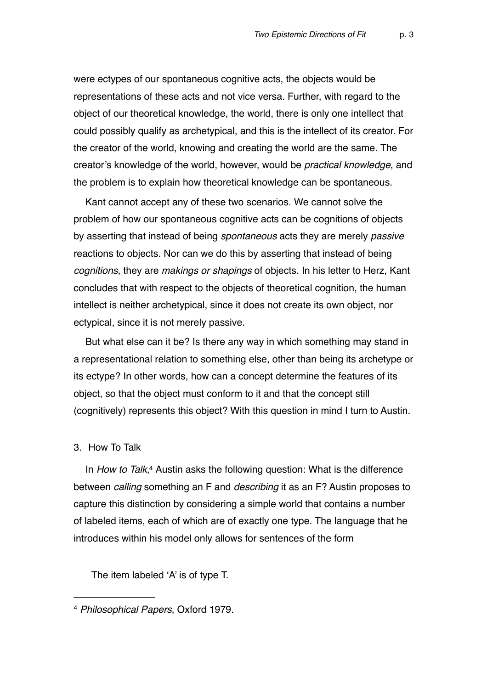were ectypes of our spontaneous cognitive acts, the objects would be representations of these acts and not vice versa. Further, with regard to the object of our theoretical knowledge, the world, there is only one intellect that could possibly qualify as archetypical, and this is the intellect of its creator. For the creator of the world, knowing and creating the world are the same. The creator's knowledge of the world, however, would be *practical knowledge*, and the problem is to explain how theoretical knowledge can be spontaneous.

Kant cannot accept any of these two scenarios. We cannot solve the problem of how our spontaneous cognitive acts can be cognitions of objects by asserting that instead of being *spontaneous* acts they are merely *passive* reactions to objects. Nor can we do this by asserting that instead of being *cognitions*, they are *makings or shapings* of objects. In his letter to Herz, Kant concludes that with respect to the objects of theoretical cognition, the human intellect is neither archetypical, since it does not create its own object, nor ectypical, since it is not merely passive.

But what else can it be? Is there any way in which something may stand in a representational relation to something else, other than being its archetype or its ectype? In other words, how can a concept determine the features of its object, so that the object must conform to it and that the concept still (cognitively) represents this object? With this question in mind I turn to Austin.

#### 3. How To Talk

In How to Talk,<sup>[4](#page-2-0)</sup> Austin asks the following question: What is the difference between *calling* something an F and *describing* it as an F? Austin proposes to capture this distinction by considering a simple world that contains a number of labeled items, each of which are of exactly one type. The language that he introduces within his model only allows for sentences of the form

The item labeled 'A' is of type T.

<span id="page-2-0"></span><sup>4</sup> *Philosophical Papers*, Oxford 1979.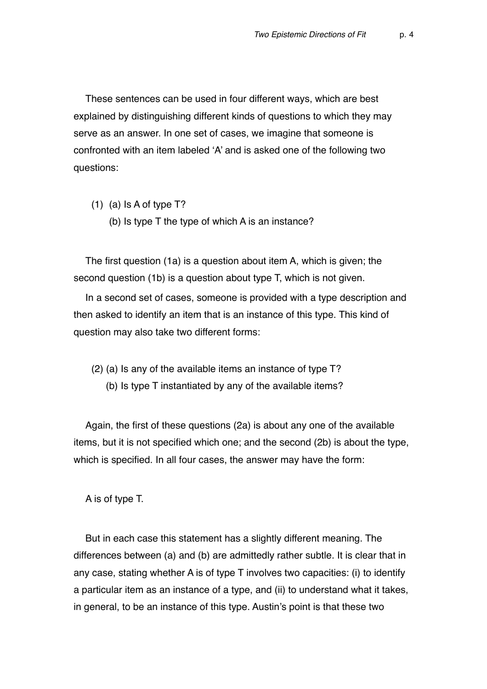These sentences can be used in four different ways, which are best explained by distinguishing different kinds of questions to which they may serve as an answer. In one set of cases, we imagine that someone is confronted with an item labeled 'A' and is asked one of the following two questions:

- (1) (a) Is A of type T?
	- $(b)$  is type T the type of which A is an instance?

The first question (1a) is a question about item A, which is given; the second question (1b) is a question about type T, which is not given.

In a second set of cases, someone is provided with a type description and then asked to identify an item that is an instance of this type. This kind of question may also take two different forms:

- (2) (a) Is any of the available items an instance of type T?
	- (b) Is type T instantiated by any of the available items?

Again, the first of these questions (2a) is about any one of the available items, but it is not specified which one; and the second (2b) is about the type, which is specified. In all four cases, the answer may have the form:

A is of type T.

But in each case this statement has a slightly different meaning. The differences between (a) and (b) are admittedly rather subtle. It is clear that in any case, stating whether A is of type T involves two capacities: (i) to identify a particular item as an instance of a type, and (ii) to understand what it takes, in general, to be an instance of this type. Austin's point is that these two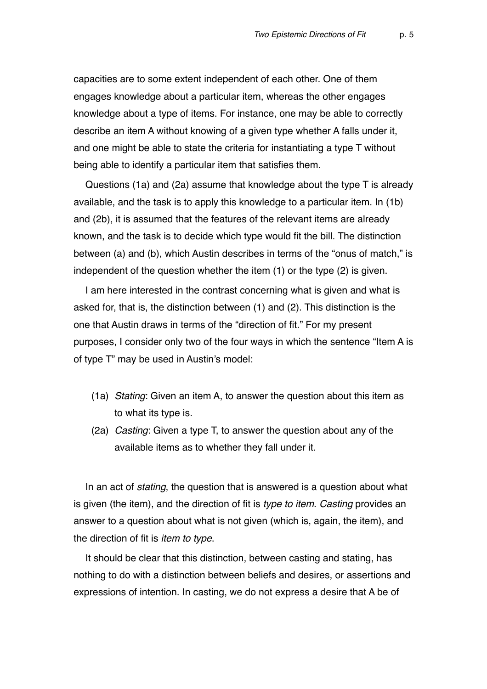capacities are to some extent independent of each other. One of them engages knowledge about a particular item, whereas the other engages knowledge about a type of items. For instance, one may be able to correctly describe an item A without knowing of a given type whether A falls under it, and one might be able to state the criteria for instantiating a type T without being able to identify a particular item that satisfies them.

Questions (1a) and (2a) assume that knowledge about the type T is already available, and the task is to apply this knowledge to a particular item. In (1b) and (2b), it is assumed that the features of the relevant items are already known, and the task is to decide which type would fit the bill. The distinction between (a) and (b), which Austin describes in terms of the "onus of match," is independent of the question whether the item (1) or the type (2) is given.

I am here interested in the contrast concerning what is given and what is asked for, that is, the distinction between (1) and (2). This distinction is the one that Austin draws in terms of the "direction of fit." For my present purposes, I consider only two of the four ways in which the sentence "Item A is of type T" may be used in Austin's model:

- (1a) *Stating*: Given an item A, to answer the question about this item as to what its type is.
- (2a) *Casting*: Given a type T, to answer the question about any of the available items as to whether they fall under it.

In an act of *stating*, the question that is answered is a question about what is given (the item), and the direction of fit is *type to item*. *Casting* provides an answer to a question about what is not given (which is, again, the item), and the direction of fit is *item to type*.

It should be clear that this distinction, between casting and stating, has nothing to do with a distinction between beliefs and desires, or assertions and expressions of intention. In casting, we do not express a desire that A be of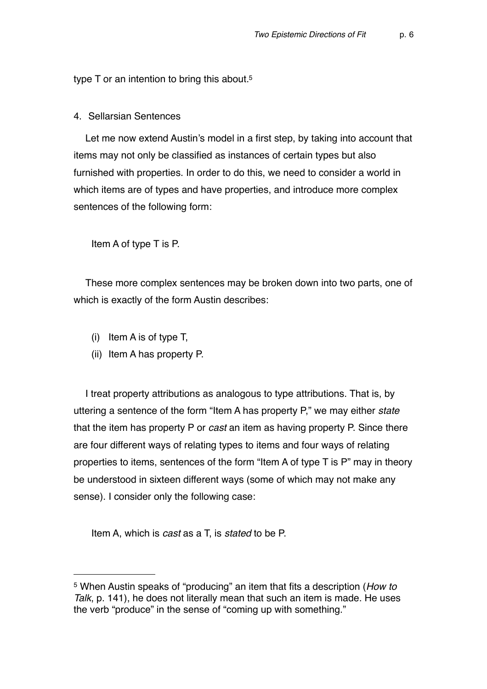type T or an intention to bring this about.<sup>5</sup>

# 4. Sellarsian Sentences

Let me now extend Austin's model in a first step, by taking into account that items may not only be classified as instances of certain types but also furnished with properties. In order to do this, we need to consider a world in which items are of types and have properties, and introduce more complex sentences of the following form:

Item A of type T is P.

These more complex sentences may be broken down into two parts, one of which is exactly of the form Austin describes:

- (i) Item A is of type T,
- (ii) Item A has property P.

I treat property attributions as analogous to type attributions. That is, by uttering a sentence of the form "Item A has property P," we may either *state* that the item has property P or *cast* an item as having property P. Since there are four different ways of relating types to items and four ways of relating properties to items, sentences of the form "Item A of type T is P" may in theory be understood in sixteen different ways (some of which may not make any sense). I consider only the following case:

Item A, which is *cast* as a T, is *stated* to be P.

<span id="page-5-0"></span><sup>5</sup> When Austin speaks of "producing" an item that fits a description (*How to Talk*, p. 141), he does not literally mean that such an item is made. He uses the verb "produce" in the sense of "coming up with something."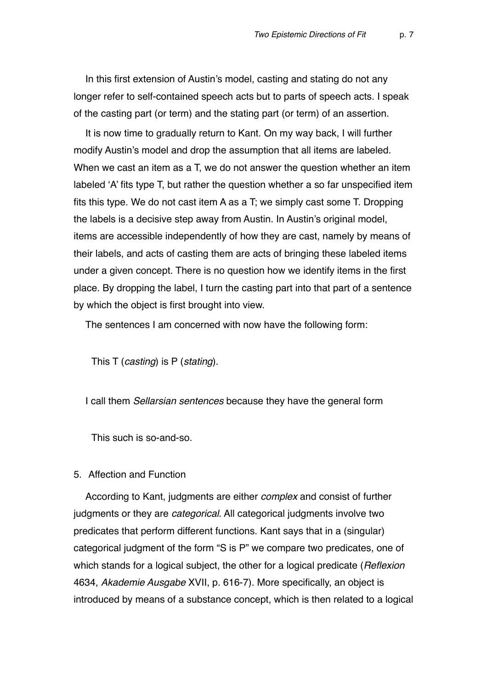In this first extension of Austin's model, casting and stating do not any longer refer to self-contained speech acts but to parts of speech acts. I speak of the casting part (or term) and the stating part (or term) of an assertion.

It is now time to gradually return to Kant. On my way back, I will further modify Austin's model and drop the assumption that all items are labeled. When we cast an item as a T, we do not answer the question whether an item labeled 'A' fits type T, but rather the question whether a so far unspecified item fits this type. We do not cast item A as a T; we simply cast some T. Dropping the labels is a decisive step away from Austin. In Austin's original model, items are accessible independently of how they are cast, namely by means of their labels, and acts of casting them are acts of bringing these labeled items under a given concept. There is no question how we identify items in the first place. By dropping the label, I turn the casting part into that part of a sentence by which the object is first brought into view.

The sentences I am concerned with now have the following form:

This T (*casting*) is P (*stating*).

I call them *Sellarsian sentences* because they have the general form

This such is so-and-so.

# 5. Affection and Function

According to Kant, judgments are either *complex* and consist of further judgments or they are *categorical*. All categorical judgments involve two predicates that perform different functions. Kant says that in a (singular) categorical judgment of the form "S is P" we compare two predicates, one of which stands for a logical subject, the other for a logical predicate (*Reflexion* 4634, *Akademie Ausgabe* XVII, p. 616-7). More specifically, an object is introduced by means of a substance concept, which is then related to a logical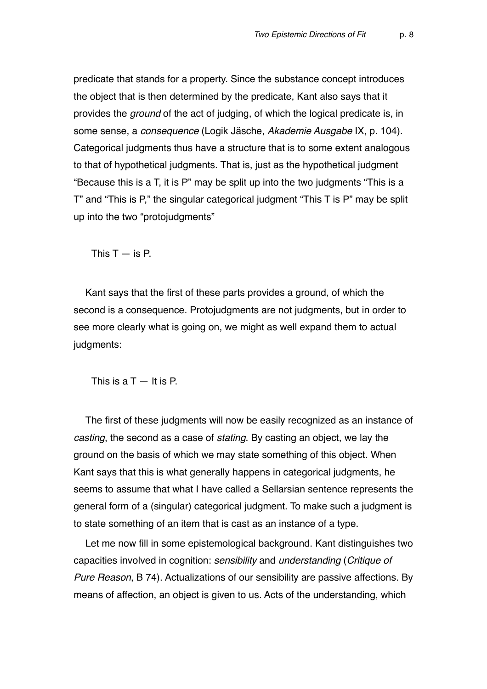predicate that stands for a property. Since the substance concept introduces the object that is then determined by the predicate, Kant also says that it provides the *ground* of the act of judging, of which the logical predicate is, in some sense, a *consequence* (Logik Jäsche, *Akademie Ausgabe* IX, p. 104). Categorical judgments thus have a structure that is to some extent analogous to that of hypothetical judgments. That is, just as the hypothetical judgment "Because this is a T, it is P" may be split up into the two judgments "This is a T" and "This is P," the singular categorical judgment "This T is P" may be split up into the two "protojudgments"

This  $T -$  is P.

Kant says that the first of these parts provides a ground, of which the second is a consequence. Protojudgments are not judgments, but in order to see more clearly what is going on, we might as well expand them to actual judgments:

This is  $aT - It$  is P.

The first of these judgments will now be easily recognized as an instance of *casting*, the second as a case of *stating*. By casting an object, we lay the ground on the basis of which we may state something of this object. When Kant says that this is what generally happens in categorical judgments, he seems to assume that what I have called a Sellarsian sentence represents the general form of a (singular) categorical judgment. To make such a judgment is to state something of an item that is cast as an instance of a type.

Let me now fill in some epistemological background. Kant distinguishes two capacities involved in cognition: *sensibility* and *understanding* (*Critique of Pure Reason*, B 74). Actualizations of our sensibility are passive affections. By means of affection, an object is given to us. Acts of the understanding, which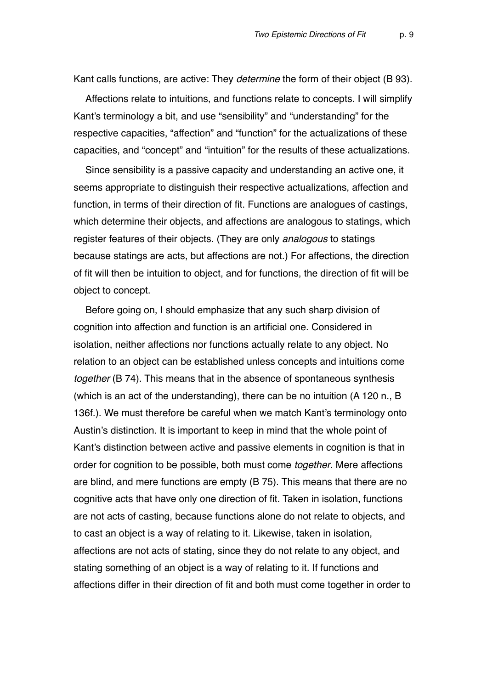Kant calls functions, are active: They *determine* the form of their object (B 93).

Affections relate to intuitions, and functions relate to concepts. I will simplify Kant's terminology a bit, and use "sensibility" and "understanding" for the respective capacities, "affection" and "function" for the actualizations of these capacities, and "concept" and "intuition" for the results of these actualizations.

Since sensibility is a passive capacity and understanding an active one, it seems appropriate to distinguish their respective actualizations, affection and function, in terms of their direction of fit. Functions are analogues of castings, which determine their objects, and affections are analogous to statings, which register features of their objects. (They are only *analogous* to statings because statings are acts, but affections are not.) For affections, the direction of fit will then be intuition to object, and for functions, the direction of fit will be object to concept.

Before going on, I should emphasize that any such sharp division of cognition into affection and function is an artificial one. Considered in isolation, neither affections nor functions actually relate to any object. No relation to an object can be established unless concepts and intuitions come *together* (B 74). This means that in the absence of spontaneous synthesis (which is an act of the understanding), there can be no intuition (A 120 n., B 136f.). We must therefore be careful when we match Kant's terminology onto Austin's distinction. It is important to keep in mind that the whole point of Kant's distinction between active and passive elements in cognition is that in order for cognition to be possible, both must come *together*. Mere affections are blind, and mere functions are empty (B 75). This means that there are no cognitive acts that have only one direction of fit. Taken in isolation, functions are not acts of casting, because functions alone do not relate to objects, and to cast an object is a way of relating to it. Likewise, taken in isolation, affections are not acts of stating, since they do not relate to any object, and stating something of an object is a way of relating to it. If functions and affections differ in their direction of fit and both must come together in order to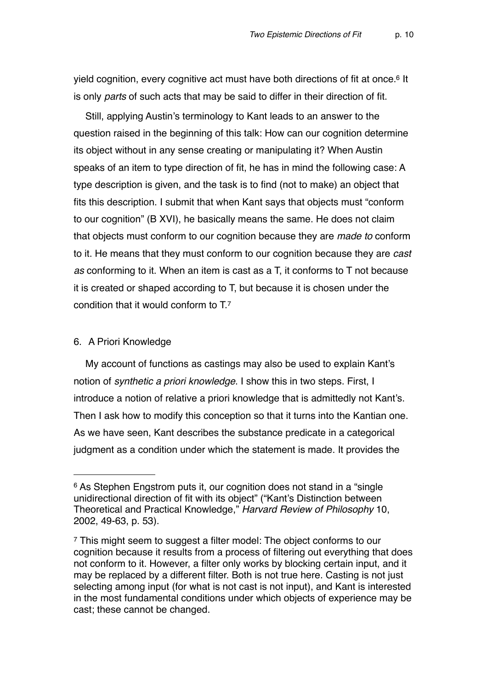yield cognition, every cognitive act must have both directions of fit at once[.6](#page-9-0) It is only *parts* of such acts that may be said to differ in their direction of fit.

Still, applying Austin's terminology to Kant leads to an answer to the question raised in the beginning of this talk: How can our cognition determine its object without in any sense creating or manipulating it? When Austin speaks of an item to type direction of fit, he has in mind the following case: A type description is given, and the task is to find (not to make) an object that fits this description. I submit that when Kant says that objects must "conform to our cognition" (B XVI), he basically means the same. He does not claim that objects must conform to our cognition because they are *made to* conform to it. He means that they must conform to our cognition because they are *cast as* conforming to it. When an item is cast as a T, it conforms to T not because it is created or shaped according to T, but because it is chosen under the condition that it would conform to T.[7](#page-9-1)

## 6. A Priori Knowledge

My account of functions as castings may also be used to explain Kant's notion of *synthetic a priori knowledge*. I show this in two steps. First, I introduce a notion of relative a priori knowledge that is admittedly not Kant's. Then I ask how to modify this conception so that it turns into the Kantian one. As we have seen, Kant describes the substance predicate in a categorical judgment as a condition under which the statement is made. It provides the

<span id="page-9-0"></span><sup>6</sup> As Stephen Engstrom puts it, our cognition does not stand in a "single unidirectional direction of fit with its object" ("Kant's Distinction between Theoretical and Practical Knowledge," *Harvard Review of Philosophy* 10, 2002, 49-63, p. 53).

<span id="page-9-1"></span><sup>&</sup>lt;sup>7</sup> This might seem to suggest a filter model: The object conforms to our cognition because it results from a process of filtering out everything that does not conform to it. However, a filter only works by blocking certain input, and it may be replaced by a different filter. Both is not true here. Casting is not just selecting among input (for what is not cast is not input), and Kant is interested in the most fundamental conditions under which objects of experience may be cast; these cannot be changed.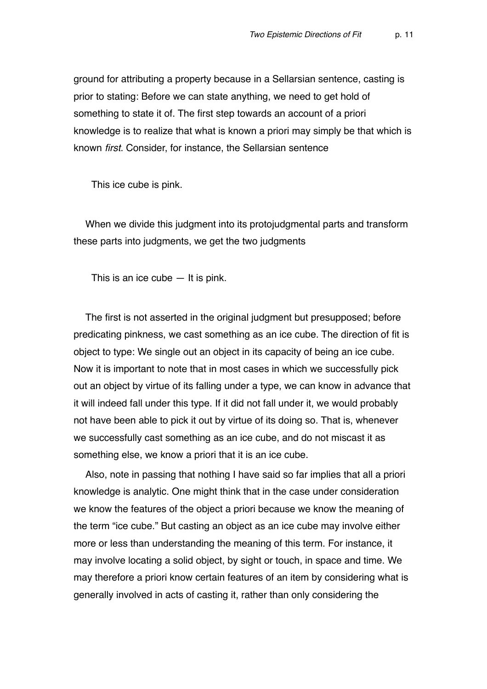ground for attributing a property because in a Sellarsian sentence, casting is prior to stating: Before we can state anything, we need to get hold of something to state it of. The first step towards an account of a priori knowledge is to realize that what is known a priori may simply be that which is known *first*. Consider, for instance, the Sellarsian sentence

This ice cube is pink.

When we divide this judgment into its protojudgmental parts and transform these parts into judgments, we get the two judgments

This is an ice cube  $-$  It is pink.

The first is not asserted in the original judgment but presupposed; before predicating pinkness, we cast something as an ice cube. The direction of fit is object to type: We single out an object in its capacity of being an ice cube. Now it is important to note that in most cases in which we successfully pick out an object by virtue of its falling under a type, we can know in advance that it will indeed fall under this type. If it did not fall under it, we would probably not have been able to pick it out by virtue of its doing so. That is, whenever we successfully cast something as an ice cube, and do not miscast it as something else, we know a priori that it is an ice cube.

Also, note in passing that nothing I have said so far implies that all a priori knowledge is analytic. One might think that in the case under consideration we know the features of the object a priori because we know the meaning of the term "ice cube." But casting an object as an ice cube may involve either more or less than understanding the meaning of this term. For instance, it may involve locating a solid object, by sight or touch, in space and time. We may therefore a priori know certain features of an item by considering what is generally involved in acts of casting it, rather than only considering the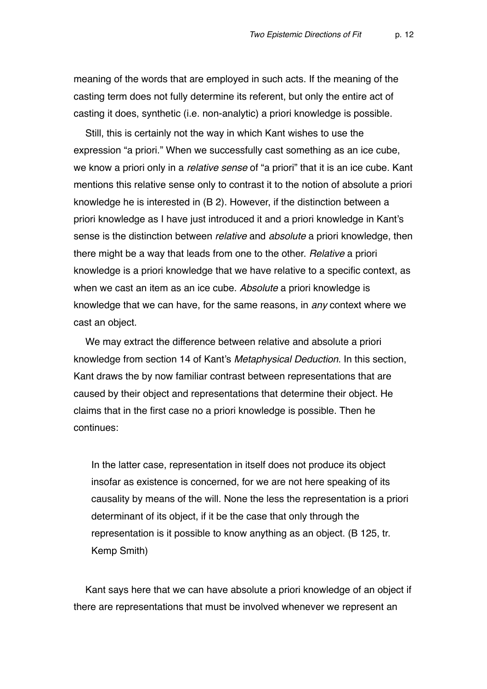meaning of the words that are employed in such acts. If the meaning of the casting term does not fully determine its referent, but only the entire act of casting it does, synthetic (i.e. non-analytic) a priori knowledge is possible.

Still, this is certainly not the way in which Kant wishes to use the expression "a priori." When we successfully cast something as an ice cube, we know a priori only in a *relative sense* of "a priori" that it is an ice cube. Kant mentions this relative sense only to contrast it to the notion of absolute a priori knowledge he is interested in (B 2). However, if the distinction between a priori knowledge as I have just introduced it and a priori knowledge in Kant's sense is the distinction between *relative* and *absolute* a priori knowledge, then there might be a way that leads from one to the other. *Relative* a priori knowledge is a priori knowledge that we have relative to a specific context, as when we cast an item as an ice cube. *Absolute* a priori knowledge is knowledge that we can have, for the same reasons, in *any* context where we cast an object.

We may extract the difference between relative and absolute a priori knowledge from section 14 of Kant's *Metaphysical Deduction*. In this section, Kant draws the by now familiar contrast between representations that are caused by their object and representations that determine their object. He claims that in the first case no a priori knowledge is possible. Then he continues:

In the latter case, representation in itself does not produce its object insofar as existence is concerned, for we are not here speaking of its causality by means of the will. None the less the representation is a priori determinant of its object, if it be the case that only through the representation is it possible to know anything as an object. (B 125, tr. Kemp Smith)

Kant says here that we can have absolute a priori knowledge of an object if there are representations that must be involved whenever we represent an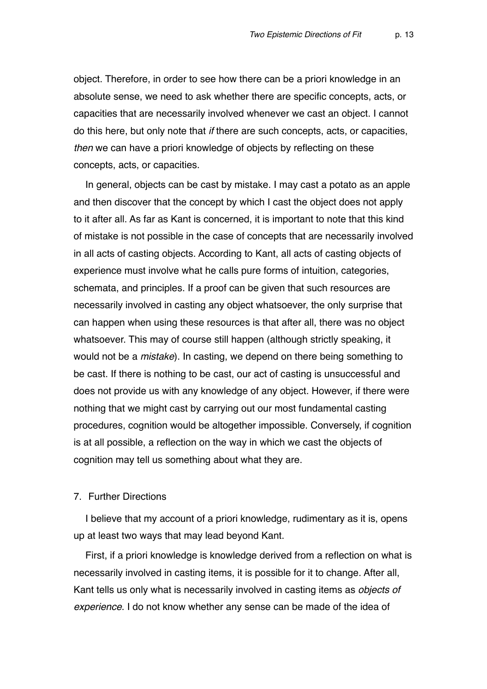object. Therefore, in order to see how there can be a priori knowledge in an absolute sense, we need to ask whether there are specific concepts, acts, or capacities that are necessarily involved whenever we cast an object. I cannot do this here, but only note that *if* there are such concepts, acts, or capacities, *then* we can have a priori knowledge of objects by reflecting on these concepts, acts, or capacities.

In general, objects can be cast by mistake. I may cast a potato as an apple and then discover that the concept by which I cast the object does not apply to it after all. As far as Kant is concerned, it is important to note that this kind of mistake is not possible in the case of concepts that are necessarily involved in all acts of casting objects. According to Kant, all acts of casting objects of experience must involve what he calls pure forms of intuition, categories, schemata, and principles. If a proof can be given that such resources are necessarily involved in casting any object whatsoever, the only surprise that can happen when using these resources is that after all, there was no object whatsoever. This may of course still happen (although strictly speaking, it would not be a *mistake*). In casting, we depend on there being something to be cast. If there is nothing to be cast, our act of casting is unsuccessful and does not provide us with any knowledge of any object. However, if there were nothing that we might cast by carrying out our most fundamental casting procedures, cognition would be altogether impossible. Conversely, if cognition is at all possible, a reflection on the way in which we cast the objects of cognition may tell us something about what they are.

# 7. Further Directions

I believe that my account of a priori knowledge, rudimentary as it is, opens up at least two ways that may lead beyond Kant.

First, if a priori knowledge is knowledge derived from a reflection on what is necessarily involved in casting items, it is possible for it to change. After all, Kant tells us only what is necessarily involved in casting items as *objects of experience*. I do not know whether any sense can be made of the idea of